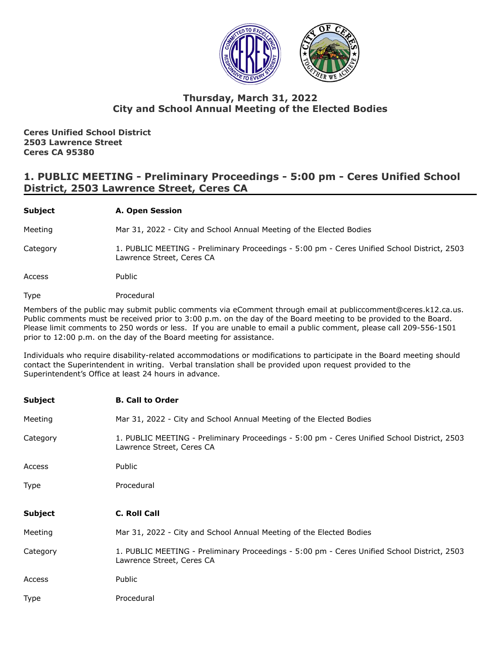

# **Thursday, March 31, 2022 City and School Annual Meeting of the Elected Bodies**

**Ceres Unified School District 2503 Lawrence Street Ceres CA 95380**

# **1. PUBLIC MEETING - Preliminary Proceedings - 5:00 pm - Ceres Unified School District, 2503 Lawrence Street, Ceres CA**

# **Subject A. Open Session**

Meeting Mar 31, 2022 - City and School Annual Meeting of the Elected Bodies

Category 1. PUBLIC MEETING - Preliminary Proceedings - 5:00 pm - Ceres Unified School District, 2503 Lawrence Street, Ceres CA

Access Public

Type Procedural

Members of the public may submit public comments via eComment through email at publiccomment@ceres.k12.ca.us. Public comments must be received prior to 3:00 p.m. on the day of the Board meeting to be provided to the Board. Please limit comments to 250 words or less. If you are unable to email a public comment, please call 209-556-1501 prior to 12:00 p.m. on the day of the Board meeting for assistance.

Individuals who require disability-related accommodations or modifications to participate in the Board meeting should contact the Superintendent in writing. Verbal translation shall be provided upon request provided to the Superintendent's Office at least 24 hours in advance.

| Subject  | <b>B. Call to Order</b>                                                                                                  |
|----------|--------------------------------------------------------------------------------------------------------------------------|
| Meeting  | Mar 31, 2022 - City and School Annual Meeting of the Elected Bodies                                                      |
| Category | 1. PUBLIC MEETING - Preliminary Proceedings - 5:00 pm - Ceres Unified School District, 2503<br>Lawrence Street, Ceres CA |
| Access   | Public                                                                                                                   |
| Type     | Procedural                                                                                                               |
|          |                                                                                                                          |
|          |                                                                                                                          |
| Subject  | C. Roll Call                                                                                                             |
| Meeting  | Mar 31, 2022 - City and School Annual Meeting of the Elected Bodies                                                      |
| Category | 1. PUBLIC MEETING - Preliminary Proceedings - 5:00 pm - Ceres Unified School District, 2503<br>Lawrence Street, Ceres CA |
| Access   | Public                                                                                                                   |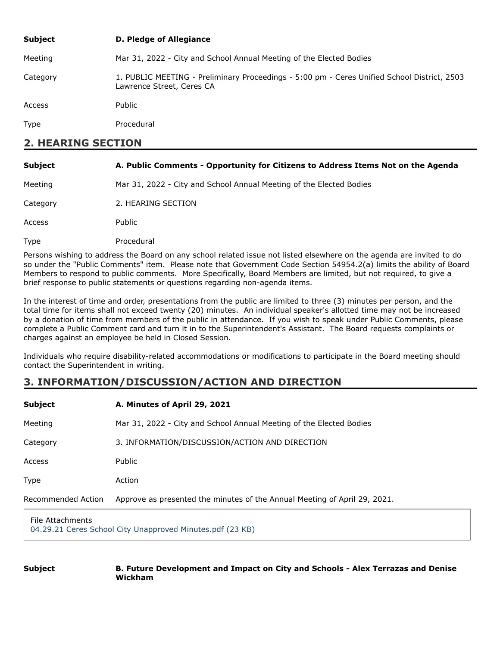| <b>Subject</b> | D. Pledge of Allegiance                                                                                                  |
|----------------|--------------------------------------------------------------------------------------------------------------------------|
| Meeting        | Mar 31, 2022 - City and School Annual Meeting of the Elected Bodies                                                      |
| Category       | 1. PUBLIC MEETING - Preliminary Proceedings - 5:00 pm - Ceres Unified School District, 2503<br>Lawrence Street, Ceres CA |
| Access         | Public                                                                                                                   |
| <b>Type</b>    | Procedural                                                                                                               |
|                |                                                                                                                          |

# **2. HEARING SECTION**

| <b>Subject</b> | A. Public Comments - Opportunity for Citizens to Address Items Not on the Agenda |
|----------------|----------------------------------------------------------------------------------|
| Meeting        | Mar 31, 2022 - City and School Annual Meeting of the Elected Bodies              |
| Category       | 2. HEARING SECTION                                                               |
| Access         | Public                                                                           |
| Type           | Procedural                                                                       |

Persons wishing to address the Board on any school related issue not listed elsewhere on the agenda are invited to do so under the "Public Comments" item. Please note that Government Code Section 54954.2(a) limits the ability of Board Members to respond to public comments. More Specifically, Board Members are limited, but not required, to give a brief response to public statements or questions regarding non-agenda items.

In the interest of time and order, presentations from the public are limited to three (3) minutes per person, and the total time for items shall not exceed twenty (20) minutes. An individual speaker's allotted time may not be increased by a donation of time from members of the public in attendance. If you wish to speak under Public Comments, please complete a Public Comment card and turn it in to the Superintendent's Assistant. The Board requests complaints or charges against an employee be held in Closed Session.

Individuals who require disability-related accommodations or modifications to participate in the Board meeting should contact the Superintendent in writing.

# **3. INFORMATION/DISCUSSION/ACTION AND DIRECTION**

| Subject            | A. Minutes of April 29, 2021                                              |
|--------------------|---------------------------------------------------------------------------|
| Meeting            | Mar 31, 2022 - City and School Annual Meeting of the Elected Bodies       |
| Category           | 3. INFORMATION/DISCUSSION/ACTION AND DIRECTION                            |
| <b>Access</b>      | Public                                                                    |
| Type               | Action                                                                    |
| Recommended Action | Approve as presented the minutes of the Annual Meeting of April 29, 2021. |
| File Attachments   |                                                                           |

[04.29.21 Ceres School City Unapproved Minutes.pdf \(23 KB\)](https://go.boarddocs.com/ca/ceres/Board.nsf/files/CCRV5C7F0B71/$file/04.29.21%20Ceres%20School%20City%20Unapproved%20Minutes.pdf)

#### **Subject B. Future Development and Impact on City and Schools - Alex Terrazas and Denise Wickham**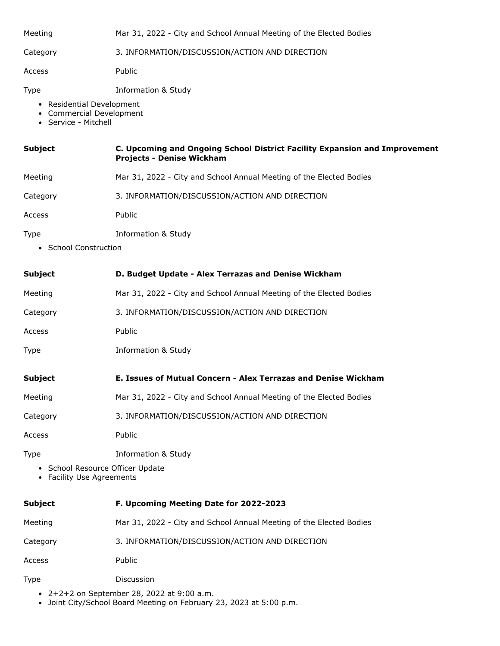| Meeting | Mar 31, 2022 - City and School Annual Meeting of the Elected Bodies |
|---------|---------------------------------------------------------------------|
|         |                                                                     |

Category 3. INFORMATION/DISCUSSION/ACTION AND DIRECTION

Access Public

Type Information & Study

- Residential Development
- Commercial Development
- Service Mitchell

| <b>Subject</b> | C. Upcoming and Ongoing School District Facility Expansion and Improvement |
|----------------|----------------------------------------------------------------------------|
|                | <b>Projects - Denise Wickham</b>                                           |

- Meeting Mar 31, 2022 City and School Annual Meeting of the Elected Bodies
- Category 3. INFORMATION/DISCUSSION/ACTION AND DIRECTION
- Access Public
- Type Information & Study
	- School Construction

| <b>Subject</b>                                                | D. Budget Update - Alex Terrazas and Denise Wickham                 |
|---------------------------------------------------------------|---------------------------------------------------------------------|
| Meeting                                                       | Mar 31, 2022 - City and School Annual Meeting of the Elected Bodies |
| Category                                                      | 3. INFORMATION/DISCUSSION/ACTION AND DIRECTION                      |
| Access                                                        | Public                                                              |
| Type                                                          | <b>Information &amp; Study</b>                                      |
| <b>Subject</b>                                                | E. Issues of Mutual Concern - Alex Terrazas and Denise Wickham      |
| Meeting                                                       | Mar 31, 2022 - City and School Annual Meeting of the Elected Bodies |
| Category                                                      | 3. INFORMATION/DISCUSSION/ACTION AND DIRECTION                      |
| Access                                                        | Public                                                              |
| Type                                                          | <b>Information &amp; Study</b>                                      |
| • School Resource Officer Update<br>• Facility Use Agreements |                                                                     |
| <b>Subject</b>                                                | F. Upcoming Meeting Date for 2022-2023                              |
| Meeting                                                       | Mar 31, 2022 - City and School Annual Meeting of the Elected Bodies |
| Category                                                      | 3. INFORMATION/DISCUSSION/ACTION AND DIRECTION                      |
| Access                                                        | Public                                                              |
| Type                                                          | Discussion                                                          |

- 2+2+2 on September 28, 2022 at 9:00 a.m.
- Joint City/School Board Meeting on February 23, 2023 at 5:00 p.m.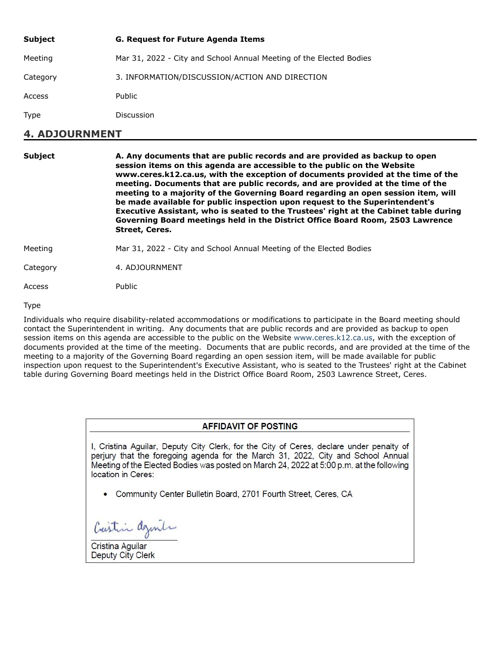| <b>Subject</b> | <b>G. Request for Future Agenda Items</b>                           |
|----------------|---------------------------------------------------------------------|
| Meeting        | Mar 31, 2022 - City and School Annual Meeting of the Elected Bodies |
| Category       | 3. INFORMATION/DISCUSSION/ACTION AND DIRECTION                      |
| Access         | Public                                                              |
| <b>Type</b>    | Discussion                                                          |

# **4. ADJOURNMENT**

| <b>Subject</b> | A. Any documents that are public records and are provided as backup to open<br>session items on this agenda are accessible to the public on the Website<br>www.ceres.k12.ca.us, with the exception of documents provided at the time of the<br>meeting. Documents that are public records, and are provided at the time of the<br>meeting to a majority of the Governing Board regarding an open session item, will<br>be made available for public inspection upon request to the Superintendent's<br>Executive Assistant, who is seated to the Trustees' right at the Cabinet table during<br>Governing Board meetings held in the District Office Board Room, 2503 Lawrence<br>Street, Ceres. |
|----------------|--------------------------------------------------------------------------------------------------------------------------------------------------------------------------------------------------------------------------------------------------------------------------------------------------------------------------------------------------------------------------------------------------------------------------------------------------------------------------------------------------------------------------------------------------------------------------------------------------------------------------------------------------------------------------------------------------|
| Meeting        | Mar 31, 2022 - City and School Annual Meeting of the Elected Bodies                                                                                                                                                                                                                                                                                                                                                                                                                                                                                                                                                                                                                              |
| Category       | 4. ADJOURNMENT                                                                                                                                                                                                                                                                                                                                                                                                                                                                                                                                                                                                                                                                                   |
| Access         | Public                                                                                                                                                                                                                                                                                                                                                                                                                                                                                                                                                                                                                                                                                           |

Type

Individuals who require disability-related accommodations or modifications to participate in the Board meeting should contact the Superintendent in writing. Any documents that are public records and are provided as backup to open session items on this agenda are accessible to the public on the Website [www.ceres.k12.ca.us,](http://www.ceres.k12.ca.us/) with the exception of documents provided at the time of the meeting. Documents that are public records, and are provided at the time of the meeting to a majority of the Governing Board regarding an open session item, will be made available for public inspection upon request to the Superintendent's Executive Assistant, who is seated to the Trustees' right at the Cabinet table during Governing Board meetings held in the District Office Board Room, 2503 Lawrence Street, Ceres.

### **AFFIDAVIT OF POSTING**

I. Cristina Aquilar, Deputy City Clerk, for the City of Ceres, declare under penalty of perjury that the foregoing agenda for the March 31, 2022, City and School Annual Meeting of the Elected Bodies was posted on March 24, 2022 at 5:00 p.m. at the following location in Ceres:

• Community Center Bulletin Board, 2701 Fourth Street, Ceres, CA

Cristin agente

Cristina Aguilar **Deputy City Clerk**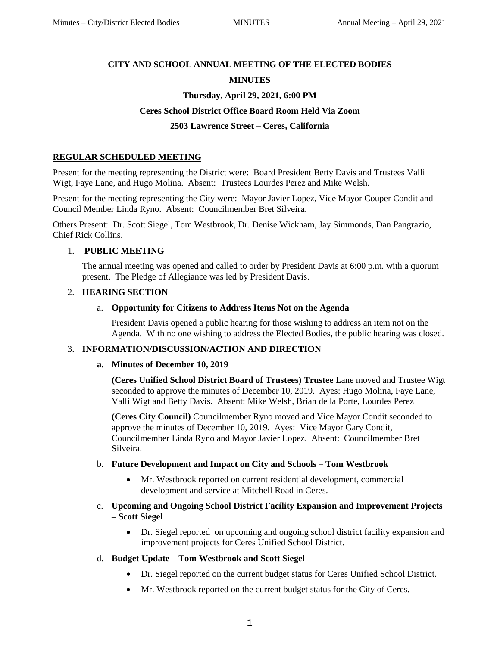# **CITY AND SCHOOL ANNUAL MEETING OF THE ELECTED BODIES**

# **MINUTES**

# **Thursday, April 29, 2021, 6:00 PM**

# **Ceres School District Office Board Room Held Via Zoom**

# **2503 Lawrence Street – Ceres, California**

# **REGULAR SCHEDULED MEETING**

Present for the meeting representing the District were: Board President Betty Davis and Trustees Valli Wigt, Faye Lane, and Hugo Molina. Absent: Trustees Lourdes Perez and Mike Welsh.

Present for the meeting representing the City were: Mayor Javier Lopez, Vice Mayor Couper Condit and Council Member Linda Ryno. Absent: Councilmember Bret Silveira.

Others Present: Dr. Scott Siegel, Tom Westbrook, Dr. Denise Wickham, Jay Simmonds, Dan Pangrazio, Chief Rick Collins.

# 1. **PUBLIC MEETING**

The annual meeting was opened and called to order by President Davis at 6:00 p.m. with a quorum present. The Pledge of Allegiance was led by President Davis.

### 2. **HEARING SECTION**

### a. **Opportunity for Citizens to Address Items Not on the Agenda**

President Davis opened a public hearing for those wishing to address an item not on the Agenda. With no one wishing to address the Elected Bodies, the public hearing was closed.

### 3. **INFORMATION/DISCUSSION/ACTION AND DIRECTION**

#### **a. Minutes of December 10, 2019**

**(Ceres Unified School District Board of Trustees) Trustee** Lane moved and Trustee Wigt seconded to approve the minutes of December 10, 2019. Ayes: Hugo Molina, Faye Lane, Valli Wigt and Betty Davis. Absent: Mike Welsh, Brian de la Porte, Lourdes Perez

**(Ceres City Council)** Councilmember Ryno moved and Vice Mayor Condit seconded to approve the minutes of December 10, 2019. Ayes: Vice Mayor Gary Condit, Councilmember Linda Ryno and Mayor Javier Lopez. Absent: Councilmember Bret Silveira.

### b. **Future Development and Impact on City and Schools – Tom Westbrook**

- Mr. Westbrook reported on current residential development, commercial development and service at Mitchell Road in Ceres.
- c. **Upcoming and Ongoing School District Facility Expansion and Improvement Projects – Scott Siegel**
	- Dr. Siegel reported on upcoming and ongoing school district facility expansion and improvement projects for Ceres Unified School District.

### d. **Budget Update – Tom Westbrook and Scott Siegel**

- Dr. Siegel reported on the current budget status for Ceres Unified School District.
- Mr. Westbrook reported on the current budget status for the City of Ceres.